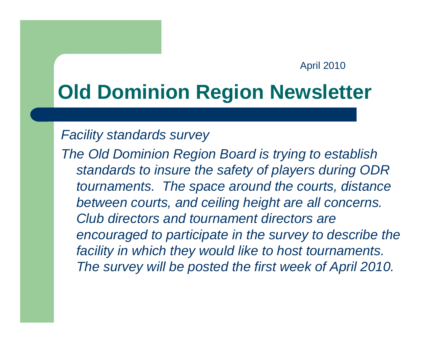#### April 2010

# **Old Dominion Region Newsletter**

### *Facility standards survey*

*The Old Dominion Region Board is trying to establish standards to insure the safety of players during ODR tournaments. The space around the courts, distance between courts, and ceiling height are all concerns. Club directors and tournament directors are encouraged to participate in the survey to describe the facility in which they would like to host tournaments. The survey will be posted the first week of April 2010.*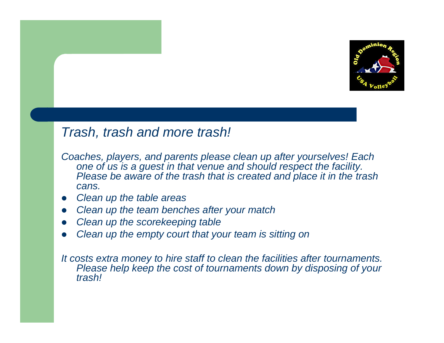

## *Trash, trash and more trash!*

- *Coaches, players, and parents please clean up after yourselves! Each one of us is a guest in that venue and should respect the facility. Please be aware of the trash that is created and place it in the trash cans.*
- *Clean up the table areas*
- *Clean up the team benches after your match*
- *Clean up the scorekeeping table*
- *Clean up the empty court that your team is sitting on*

*It costs extra money to hire staff to clean the facilities after tournaments. Please help keep the cost of tournaments down by disposing of your trash!*